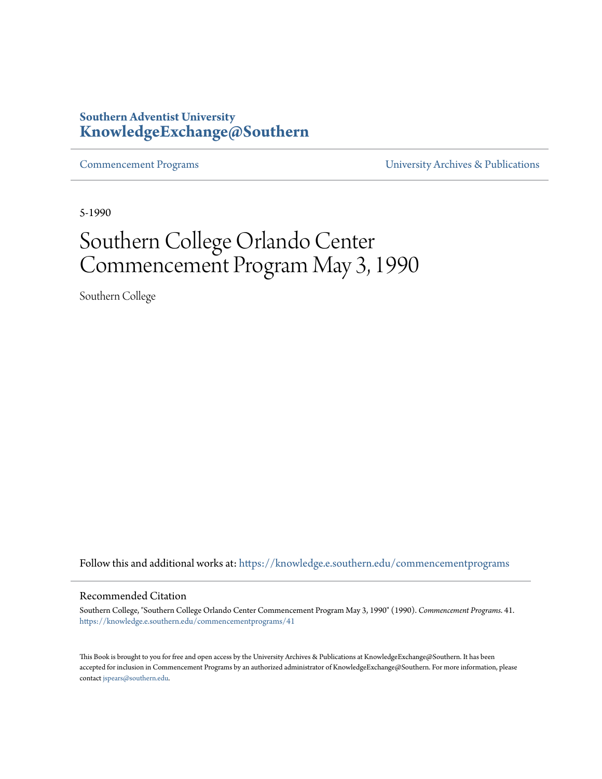## **Southern Adventist University [KnowledgeExchange@Southern](https://knowledge.e.southern.edu/?utm_source=knowledge.e.southern.edu%2Fcommencementprograms%2F41&utm_medium=PDF&utm_campaign=PDFCoverPages)**

[Commencement Programs](https://knowledge.e.southern.edu/commencementprograms?utm_source=knowledge.e.southern.edu%2Fcommencementprograms%2F41&utm_medium=PDF&utm_campaign=PDFCoverPages) [University Archives & Publications](https://knowledge.e.southern.edu/archives?utm_source=knowledge.e.southern.edu%2Fcommencementprograms%2F41&utm_medium=PDF&utm_campaign=PDFCoverPages)

5-1990

# Southern College Orlando Center Commencement Program May 3, 1990

Southern College

Follow this and additional works at: [https://knowledge.e.southern.edu/commencementprograms](https://knowledge.e.southern.edu/commencementprograms?utm_source=knowledge.e.southern.edu%2Fcommencementprograms%2F41&utm_medium=PDF&utm_campaign=PDFCoverPages)

#### Recommended Citation

Southern College, "Southern College Orlando Center Commencement Program May 3, 1990" (1990). *Commencement Programs*. 41. [https://knowledge.e.southern.edu/commencementprograms/41](https://knowledge.e.southern.edu/commencementprograms/41?utm_source=knowledge.e.southern.edu%2Fcommencementprograms%2F41&utm_medium=PDF&utm_campaign=PDFCoverPages)

This Book is brought to you for free and open access by the University Archives & Publications at KnowledgeExchange@Southern. It has been accepted for inclusion in Commencement Programs by an authorized administrator of KnowledgeExchange@Southern. For more information, please contact [jspears@southern.edu](mailto:jspears@southern.edu).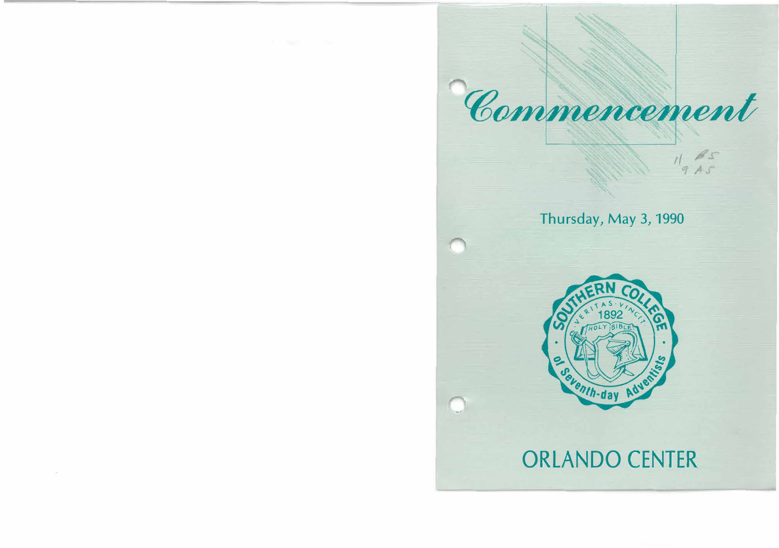

## Thursday, May 3, 1990

*ti* 



# ORLANDO CENTER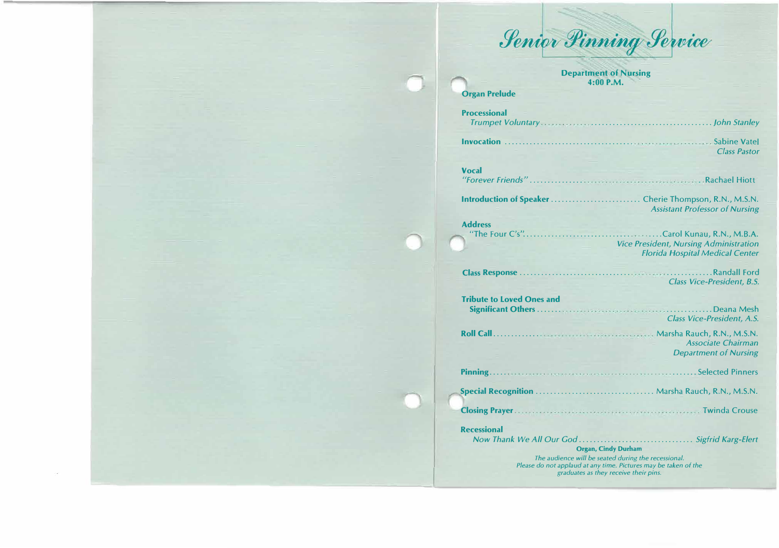

**Department of Nursing 4:00 P.M.** 

| <b>Organ Prelude</b>                                     |                                                                                                                                                                                                                                                              |
|----------------------------------------------------------|--------------------------------------------------------------------------------------------------------------------------------------------------------------------------------------------------------------------------------------------------------------|
| <b>Processional</b>                                      |                                                                                                                                                                                                                                                              |
|                                                          | <b>Class Pastor</b>                                                                                                                                                                                                                                          |
| <b>Vocal</b>                                             |                                                                                                                                                                                                                                                              |
|                                                          | <b>Assistant Professor of Nursing</b>                                                                                                                                                                                                                        |
| <b>Address</b><br>"The Four C's"                         | Carol Kunau, R.N., M.B.A.<br><b>Vice President, Nursing Administration</b><br><b>Florida Hospital Medical Center</b>                                                                                                                                         |
|                                                          | <b>Class Vice-President, B.S.</b>                                                                                                                                                                                                                            |
| <b>Tribute to Loved Ones and</b>                         | <b>Class Vice-President, A.S.</b>                                                                                                                                                                                                                            |
|                                                          | <b>Associate Chairman</b><br><b>Department of Nursing</b>                                                                                                                                                                                                    |
|                                                          |                                                                                                                                                                                                                                                              |
|                                                          |                                                                                                                                                                                                                                                              |
|                                                          |                                                                                                                                                                                                                                                              |
| <b>Recessional</b><br>the property of the control of the | <b>Organ, Cindy Durham</b><br>the contract of the contract of the contract of the contract of the contract of the contract of the contract of the contract of the contract of the contract of the contract of the contract of the contract of the contract o |

*The audience will be seated during the recessional. Please do not applaud at any time. Pictures may be taken of the graduates as they receive their pins.*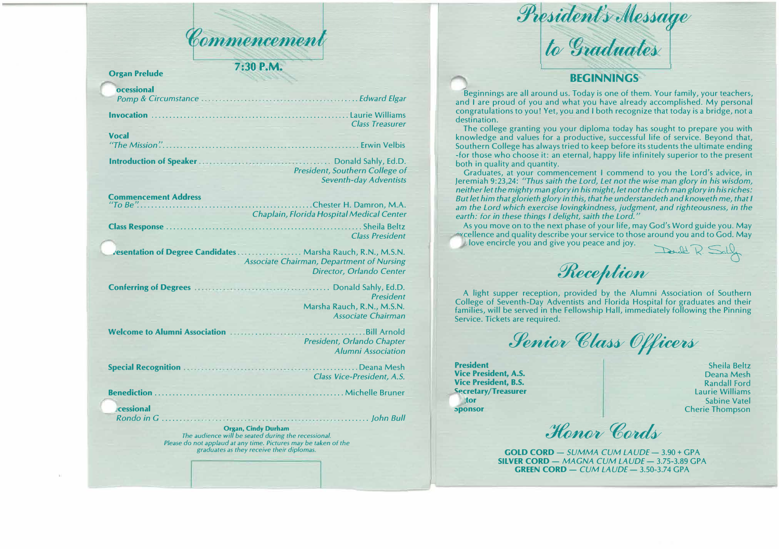

## **Organ Prelude 7:30 P.M.**

| ocessional   |                                                                                        |
|--------------|----------------------------------------------------------------------------------------|
|              |                                                                                        |
|              | <b>Class Treasurer</b>                                                                 |
| <b>Vocal</b> |                                                                                        |
|              | <b>Example 2 President, Southern College of</b><br><b>Seventh-day Adventists</b>       |
|              | Chester H. Damron, M.A.<br><b>Example 15 Chaplain, Florida Hospital Medical Center</b> |
|              | <b>Class President</b><br>vesentation of Degree Candidates  Marsha Rauch, R.N., M.S.N. |
|              | <b>Associate Chairman, Department of Nursing</b><br>Director, Orlando Center           |
|              | <b>President</b><br>Marsha Rauch, R.N., M.S.N.<br><b>Associate Chairman</b>            |
|              | President, Orlando Chapter<br><b>Alumni Association</b>                                |
|              | <b>Class Vice-President, A.S.</b>                                                      |
|              |                                                                                        |
| cessional    | <b><i>Communication</i></b>                                                            |

**Organ, Cindy Durham**  *The audience will be seated during the recessional. Please do not applaud at any time. Pictures may be taken of the graduates* as *they receive their diplomas.* 

President's Message<br>to Graduates

## **BEGINNINGS**

Beginnings are all around us. Today is one of them. Your family, your teachers, and I are proud of you and what you have already accomplished. My personal congratulations to you! Yet, you and I both recognize that today is a bridge, not a destination.

The college granting you your diploma today has sought to prepare you with knowledge and values for a productive, successful life of service. Beyond that, Southern College has always tried to keep before its students the ultimate ending -for those who choose it: an eternal, happy life infinitely superior to the present both in quality and quantity.

Graduates, at your commencement I commend to you the Lord's advice, in Jeremiah 9:23,24: *"Thus saith the Lord, Let not the wise man glory in his wisdom, neither let the mighty man glory in his might, let not the rich man glory in his riches: But let him that glorieth glory in this, that he understandeth and knoweth me, that I am the Lord which exercise lovingkindness, judgment, and righteousness, in the earth: for in these things I delight, saith the Lord."* 

As you move on to the next phase of your life, may God's Word guide you. May vcellence and quality describe your service to those around you and to God. May love encircle you and give you peace and joy. Danald R. Sally

Reception

A light supper reception, provided by the Alumni Association of Southern College of Seventh-Day Adventists and Florida Hospital for graduates and their families, will be served in the Fellowship Hall, immediately following the Pinning Service. Tickets are required.

Senior Class Officers

**President Vice President, A.S. Vice President, B.S. ��cretary/Treasurer ·tor ;,ponsor** 

Sheila Beltz Deana Mesh Randall Ford Laurie Williams Sabine Vatel Cherie Thompson

Hanor Cords

**GOLD CORD** - *SUMMA CUM LAUDE* - 3.90 + GPA **SILVER CORD** - *MAGNA CUM LAUDE* - 3.75-3.89 GPA **GREEN CORD** - *CUM LAUDE* - 3.50-3.74 GPA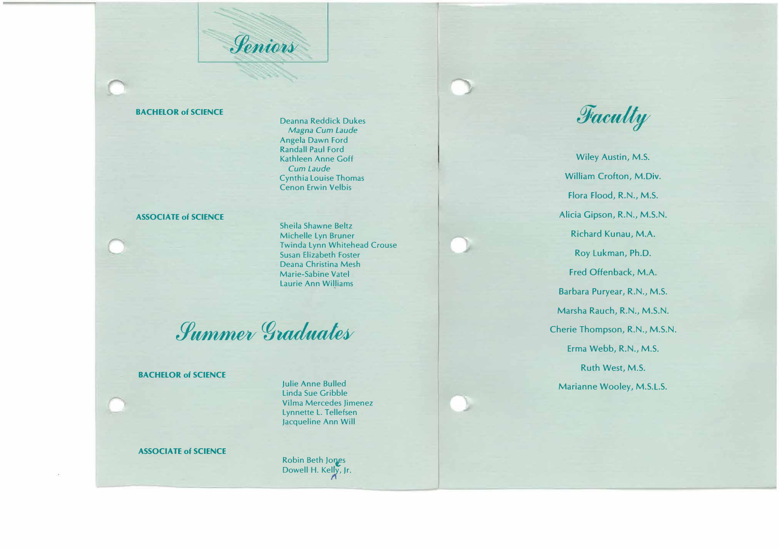*Seniors* 

#### **BACHELOR of SCIENCE**

Deanna Reddick Dukes *Magna Cum Laude*  Angela Dawn Ford Randall Paul Ford Kathleen Anne Goff *Cum Laude*  Cynthia Louise Thomas Cenon Erwin Velbis

## **ASSOCIATE of SCIENCE**

Sheila Shawne Beltz Michelle Lyn Bruner Twinda Lynn Whitehead Crouse Susan Elizabeth Foster Deana Christina Mesh Marie-Sabine Vatel Laurie Ann Williams

*Summer Graduates* 

## **BACHELOR of SCIENCE**

Julie Anne Bulled Linda Sue Gribble Vilma Mercedes limenez Lynnette L. Tellefsen Jacqueline Ann Will

## **ASSOCIATE of SCIENCE**

Robin Beth Jones Dowell H. Kelly, Jr.<br>  $\Lambda$ 

Faculty

Wiley Austin, M.S. William Crofton, M.Div. Flora Flood, R.N., M.S. Alicia Gipson, R.N., M.S.N. Richard Kunau, M.A. Roy Lukman, Ph.D. Fred Offenback, M.A. Barbara Puryear, R.N., M.S. Marsha Rauch, R.N., M.S.N. Cherie Thompson, R.N., M.S.N. Erma Webb, R.N., M.S. Ruth West, M.S. Marianne Wooley, M.S.L.S.